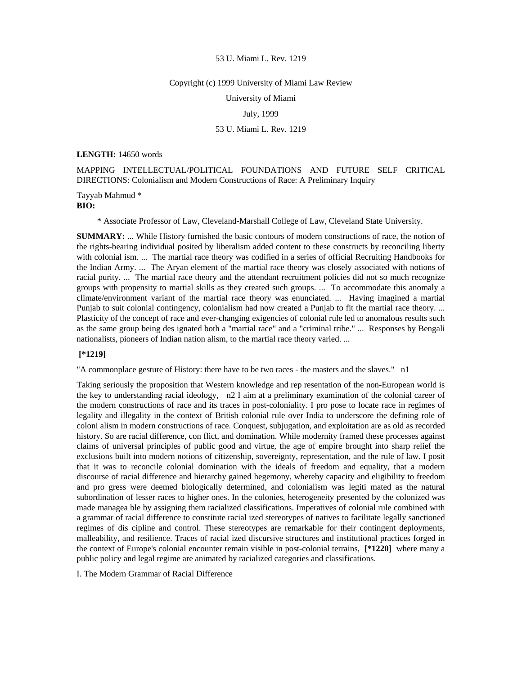#### Copyright (c) 1999 University of Miami Law Review

University of Miami

July, 1999

# 53 U. Miami L. Rev. 1219

### **LENGTH:** 14650 words

MAPPING INTELLECTUAL/POLITICAL FOUNDATIONS AND FUTURE SELF CRITICAL DIRECTIONS: Colonialism and Modern Constructions of Race: A Preliminary Inquiry

Tayyab Mahmud \* **BIO:** 

\* Associate Professor of Law, Cleveland-Marshall College of Law, Cleveland State University.

**SUMMARY:** ... While History furnished the basic contours of modern constructions of race, the notion of the rights-bearing individual posited by liberalism added content to these constructs by reconciling liberty with colonial ism. ... The martial race theory was codified in a series of official Recruiting Handbooks for the Indian Army. ... The Aryan element of the martial race theory was closely associated with notions of racial purity. ... The martial race theory and the attendant recruitment policies did not so much recognize groups with propensity to martial skills as they created such groups. ... To accommodate this anomaly a climate/environment variant of the martial race theory was enunciated. ... Having imagined a martial Punjab to suit colonial contingency, colonialism had now created a Punjab to fit the martial race theory. ... Plasticity of the concept of race and ever-changing exigencies of colonial rule led to anomalous results such as the same group being des ignated both a "martial race" and a "criminal tribe." ... Responses by Bengali nationalists, pioneers of Indian nation alism, to the martial race theory varied. ...

## **[\*1219]**

"A commonplace gesture of History: there have to be two races - the masters and the slaves." n1

Taking seriously the proposition that Western knowledge and rep resentation of the non-European world is the key to understanding racial ideology, n2 I aim at a preliminary examination of the colonial career of the modern constructions of race and its traces in post-coloniality. I pro pose to locate race in regimes of legality and illegality in the context of British colonial rule over India to underscore the defining role of coloni alism in modern constructions of race. Conquest, subjugation, and exploitation are as old as recorded history. So are racial difference, con flict, and domination. While modernity framed these processes against claims of universal principles of public good and virtue, the age of empire brought into sharp relief the exclusions built into modern notions of citizenship, sovereignty, representation, and the rule of law. I posit that it was to reconcile colonial domination with the ideals of freedom and equality, that a modern discourse of racial difference and hierarchy gained hegemony, whereby capacity and eligibility to freedom and pro gress were deemed biologically determined, and colonialism was legiti mated as the natural subordination of lesser races to higher ones. In the colonies, heterogeneity presented by the colonized was made managea ble by assigning them racialized classifications. Imperatives of colonial rule combined with a grammar of racial difference to constitute racial ized stereotypes of natives to facilitate legally sanctioned regimes of dis cipline and control. These stereotypes are remarkable for their contingent deployments, malleability, and resilience. Traces of racial ized discursive structures and institutional practices forged in the context of Europe's colonial encounter remain visible in post-colonial terrains, **[\*1220]** where many a public policy and legal regime are animated by racialized categories and classifications.

I. The Modern Grammar of Racial Difference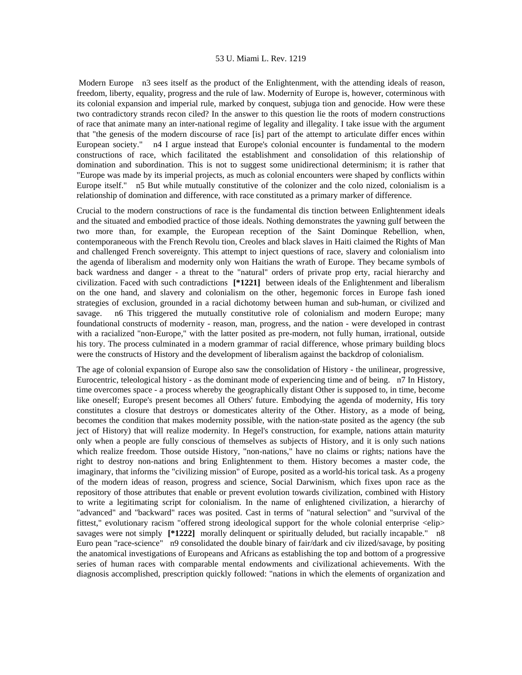Modern Europe n3 sees itself as the product of the Enlightenment, with the attending ideals of reason, freedom, liberty, equality, progress and the rule of law. Modernity of Europe is, however, coterminous with its colonial expansion and imperial rule, marked by conquest, subjuga tion and genocide. How were these two contradictory strands recon ciled? In the answer to this question lie the roots of modern constructions of race that animate many an inter-national regime of legality and illegality. I take issue with the argument that "the genesis of the modern discourse of race [is] part of the attempt to articulate differ ences within European society." n4 I argue instead that Europe's colonial encounter is fundamental to the modern constructions of race, which facilitated the establishment and consolidation of this relationship of domination and subordination. This is not to suggest some unidirectional determinism; it is rather that "Europe was made by its imperial projects, as much as colonial encounters were shaped by conflicts within Europe itself." n5 But while mutually constitutive of the colonizer and the colo nized, colonialism is a relationship of domination and difference, with race constituted as a primary marker of difference.

Crucial to the modern constructions of race is the fundamental dis tinction between Enlightenment ideals and the situated and embodied practice of those ideals. Nothing demonstrates the yawning gulf between the two more than, for example, the European reception of the Saint Dominque Rebellion, when, contemporaneous with the French Revolu tion, Creoles and black slaves in Haiti claimed the Rights of Man and challenged French sovereignty. This attempt to inject questions of race, slavery and colonialism into the agenda of liberalism and modernity only won Haitians the wrath of Europe. They became symbols of back wardness and danger - a threat to the "natural" orders of private prop erty, racial hierarchy and civilization. Faced with such contradictions **[\*1221]** between ideals of the Enlightenment and liberalism on the one hand, and slavery and colonialism on the other, hegemonic forces in Europe fash ioned strategies of exclusion, grounded in a racial dichotomy between human and sub-human, or civilized and savage. n6 This triggered the mutually constitutive role of colonialism and modern Europe; many foundational constructs of modernity - reason, man, progress, and the nation - were developed in contrast with a racialized "non-Europe," with the latter posited as pre-modern, not fully human, irrational, outside his tory. The process culminated in a modern grammar of racial difference, whose primary building blocs were the constructs of History and the development of liberalism against the backdrop of colonialism.

The age of colonial expansion of Europe also saw the consolidation of History - the unilinear, progressive, Eurocentric, teleological history - as the dominant mode of experiencing time and of being. n7 In History, time overcomes space - a process whereby the geographically distant Other is supposed to, in time, become like oneself; Europe's present becomes all Others' future. Embodying the agenda of modernity, His tory constitutes a closure that destroys or domesticates alterity of the Other. History, as a mode of being, becomes the condition that makes modernity possible, with the nation-state posited as the agency (the sub ject of History) that will realize modernity. In Hegel's construction, for example, nations attain maturity only when a people are fully conscious of themselves as subjects of History, and it is only such nations which realize freedom. Those outside History, "non-nations," have no claims or rights; nations have the right to destroy non-nations and bring Enlightenment to them. History becomes a master code, the imaginary, that informs the "civilizing mission" of Europe, posited as a world-his torical task. As a progeny of the modern ideas of reason, progress and science, Social Darwinism, which fixes upon race as the repository of those attributes that enable or prevent evolution towards civilization, combined with History to write a legitimating script for colonialism. In the name of enlightened civilization, a hierarchy of "advanced" and "backward" races was posited. Cast in terms of "natural selection" and "survival of the fittest," evolutionary racism "offered strong ideological support for the whole colonial enterprise <elip> savages were not simply **[\*1222]** morally delinquent or spiritually deluded, but racially incapable." n8 Euro pean "race-science" n9 consolidated the double binary of fair/dark and civ ilized/savage, by positing the anatomical investigations of Europeans and Africans as establishing the top and bottom of a progressive series of human races with comparable mental endowments and civilizational achievements. With the diagnosis accomplished, prescription quickly followed: "nations in which the elements of organization and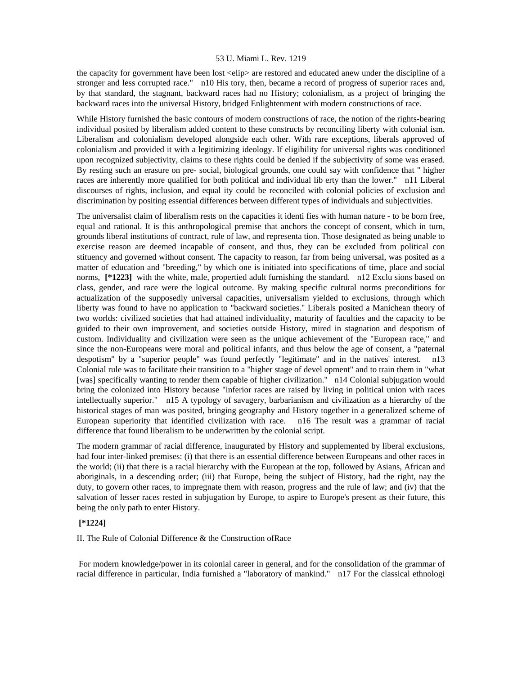the capacity for government have been lost <elip> are restored and educated anew under the discipline of a stronger and less corrupted race." n10 His tory, then, became a record of progress of superior races and, by that standard, the stagnant, backward races had no History; colonialism, as a project of bringing the backward races into the universal History, bridged Enlightenment with modern constructions of race.

While History furnished the basic contours of modern constructions of race, the notion of the rights-bearing individual posited by liberalism added content to these constructs by reconciling liberty with colonial ism. Liberalism and colonialism developed alongside each other. With rare exceptions, liberals approved of colonialism and provided it with a legitimizing ideology. If eligibility for universal rights was conditioned upon recognized subjectivity, claims to these rights could be denied if the subjectivity of some was erased. By resting such an erasure on pre- social, biological grounds, one could say with confidence that " higher races are inherently more qualified for both political and individual lib erty than the lower." n11 Liberal discourses of rights, inclusion, and equal ity could be reconciled with colonial policies of exclusion and discrimination by positing essential differences between different types of individuals and subjectivities.

The universalist claim of liberalism rests on the capacities it identi fies with human nature - to be born free, equal and rational. It is this anthropological premise that anchors the concept of consent, which in turn, grounds liberal institutions of contract, rule of law, and representa tion. Those designated as being unable to exercise reason are deemed incapable of consent, and thus, they can be excluded from political con stituency and governed without consent. The capacity to reason, far from being universal, was posited as a matter of education and "breeding," by which one is initiated into specifications of time, place and social norms, **[\*1223]** with the white, male, propertied adult furnishing the standard. n12 Exclu sions based on class, gender, and race were the logical outcome. By making specific cultural norms preconditions for actualization of the supposedly universal capacities, universalism yielded to exclusions, through which liberty was found to have no application to "backward societies." Liberals posited a Manichean theory of two worlds: civilized societies that had attained individuality, maturity of faculties and the capacity to be guided to their own improvement, and societies outside History, mired in stagnation and despotism of custom. Individuality and civilization were seen as the unique achievement of the "European race," and since the non-Europeans were moral and political infants, and thus below the age of consent, a "paternal despotism" by a "superior people" was found perfectly "legitimate" and in the natives' interest. n13 Colonial rule was to facilitate their transition to a "higher stage of devel opment" and to train them in "what [was] specifically wanting to render them capable of higher civilization." n14 Colonial subjugation would bring the colonized into History because "inferior races are raised by living in political union with races intellectually superior." n15 A typology of savagery, barbarianism and civilization as a hierarchy of the historical stages of man was posited, bringing geography and History together in a generalized scheme of European superiority that identified civilization with race. n16 The result was a grammar of racial difference that found liberalism to be underwritten by the colonial script.

The modern grammar of racial difference, inaugurated by History and supplemented by liberal exclusions, had four inter-linked premises: (i) that there is an essential difference between Europeans and other races in the world; (ii) that there is a racial hierarchy with the European at the top, followed by Asians, African and aboriginals, in a descending order; (iii) that Europe, being the subject of History, had the right, nay the duty, to govern other races, to impregnate them with reason, progress and the rule of law; and (iv) that the salvation of lesser races rested in subjugation by Europe, to aspire to Europe's present as their future, this being the only path to enter History.

# **[\*1224]**

II. The Rule of Colonial Difference & the Construction ofRace

 For modern knowledge/power in its colonial career in general, and for the consolidation of the grammar of racial difference in particular, India furnished a "laboratory of mankind." n17 For the classical ethnologi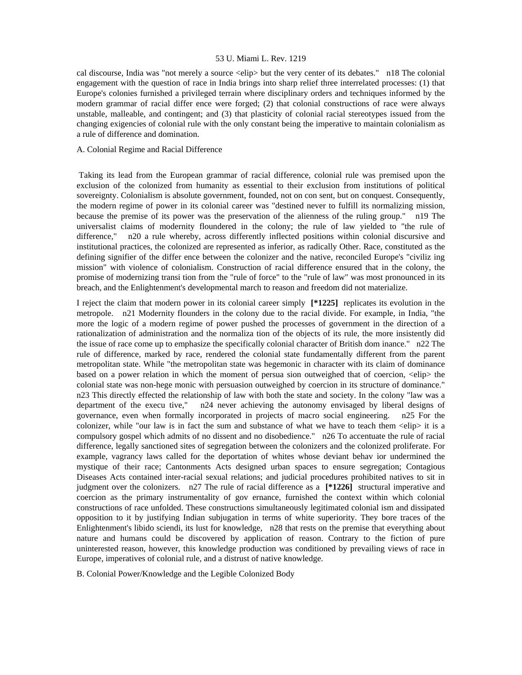cal discourse, India was "not merely a source <elip> but the very center of its debates." n18 The colonial engagement with the question of race in India brings into sharp relief three interrelated processes: (1) that Europe's colonies furnished a privileged terrain where disciplinary orders and techniques informed by the modern grammar of racial differ ence were forged; (2) that colonial constructions of race were always unstable, malleable, and contingent; and (3) that plasticity of colonial racial stereotypes issued from the changing exigencies of colonial rule with the only constant being the imperative to maintain colonialism as a rule of difference and domination.

# A. Colonial Regime and Racial Difference

 Taking its lead from the European grammar of racial difference, colonial rule was premised upon the exclusion of the colonized from humanity as essential to their exclusion from institutions of political sovereignty. Colonialism is absolute government, founded, not on con sent, but on conquest. Consequently, the modern regime of power in its colonial career was "destined never to fulfill its normalizing mission, because the premise of its power was the preservation of the alienness of the ruling group." n19 The universalist claims of modernity floundered in the colony; the rule of law yielded to "the rule of difference," n20 a rule whereby, across differently inflected positions within colonial discursive and institutional practices, the colonized are represented as inferior, as radically Other. Race, constituted as the defining signifier of the differ ence between the colonizer and the native, reconciled Europe's "civiliz ing mission" with violence of colonialism. Construction of racial difference ensured that in the colony, the promise of modernizing transi tion from the "rule of force" to the "rule of law" was most pronounced in its breach, and the Enlightenment's developmental march to reason and freedom did not materialize.

I reject the claim that modern power in its colonial career simply **[\*1225]** replicates its evolution in the metropole. n21 Modernity flounders in the colony due to the racial divide. For example, in India, "the more the logic of a modern regime of power pushed the processes of government in the direction of a rationalization of administration and the normaliza tion of the objects of its rule, the more insistently did the issue of race come up to emphasize the specifically colonial character of British dom inance." n22 The rule of difference, marked by race, rendered the colonial state fundamentally different from the parent metropolitan state. While "the metropolitan state was hegemonic in character with its claim of dominance based on a power relation in which the moment of persua sion outweighed that of coercion,  $\langle$ elip $\rangle$  the colonial state was non-hege monic with persuasion outweighed by coercion in its structure of dominance." n23 This directly effected the relationship of law with both the state and society. In the colony "law was a department of the execu tive," n24 never achieving the autonomy envisaged by liberal designs of governance, even when formally incorporated in projects of macro social engineering. n25 For the colonizer, while "our law is in fact the sum and substance of what we have to teach them  $\leq$ elip $\geq$  it is a compulsory gospel which admits of no dissent and no disobedience." n26 To accentuate the rule of racial difference, legally sanctioned sites of segregation between the colonizers and the colonized proliferate. For example, vagrancy laws called for the deportation of whites whose deviant behav ior undermined the mystique of their race; Cantonments Acts designed urban spaces to ensure segregation; Contagious Diseases Acts contained inter-racial sexual relations; and judicial procedures prohibited natives to sit in judgment over the colonizers. n27 The rule of racial difference as a **[\*1226]** structural imperative and coercion as the primary instrumentality of gov ernance, furnished the context within which colonial constructions of race unfolded. These constructions simultaneously legitimated colonial ism and dissipated opposition to it by justifying Indian subjugation in terms of white superiority. They bore traces of the Enlightenment's libido sciendi, its lust for knowledge, n28 that rests on the premise that everything about nature and humans could be discovered by application of reason. Contrary to the fiction of pure uninterested reason, however, this knowledge production was conditioned by prevailing views of race in Europe, imperatives of colonial rule, and a distrust of native knowledge.

B. Colonial Power/Knowledge and the Legible Colonized Body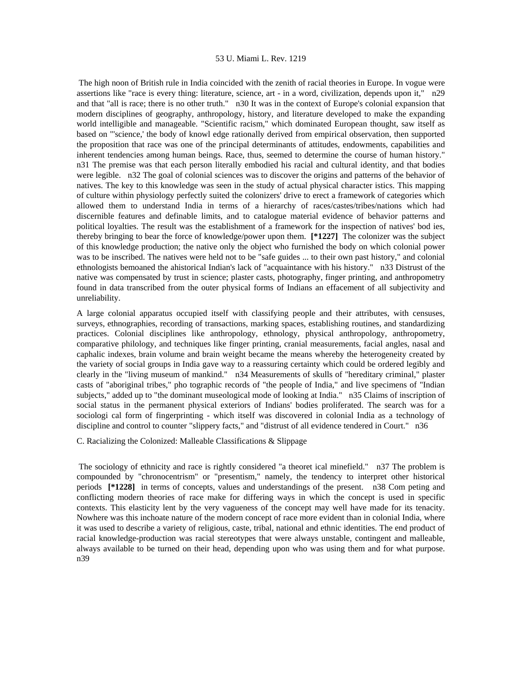The high noon of British rule in India coincided with the zenith of racial theories in Europe. In vogue were assertions like "race is every thing: literature, science, art - in a word, civilization, depends upon it," n29 and that "all is race; there is no other truth." n30 It was in the context of Europe's colonial expansion that modern disciplines of geography, anthropology, history, and literature developed to make the expanding world intelligible and manageable. "Scientific racism," which dominated European thought, saw itself as based on "'science,' the body of knowl edge rationally derived from empirical observation, then supported the proposition that race was one of the principal determinants of attitudes, endowments, capabilities and inherent tendencies among human beings. Race, thus, seemed to determine the course of human history." n31 The premise was that each person literally embodied his racial and cultural identity, and that bodies were legible. n32 The goal of colonial sciences was to discover the origins and patterns of the behavior of natives. The key to this knowledge was seen in the study of actual physical character istics. This mapping of culture within physiology perfectly suited the colonizers' drive to erect a framework of categories which allowed them to understand India in terms of a hierarchy of races/castes/tribes/nations which had discernible features and definable limits, and to catalogue material evidence of behavior patterns and political loyalties. The result was the establishment of a framework for the inspection of natives' bod ies, thereby bringing to bear the force of knowledge/power upon them. **[\*1227]** The colonizer was the subject of this knowledge production; the native only the object who furnished the body on which colonial power was to be inscribed. The natives were held not to be "safe guides ... to their own past history," and colonial ethnologists bemoaned the ahistorical Indian's lack of "acquaintance with his history." n33 Distrust of the native was compensated by trust in science; plaster casts, photography, finger printing, and anthropometry found in data transcribed from the outer physical forms of Indians an effacement of all subjectivity and unreliability.

A large colonial apparatus occupied itself with classifying people and their attributes, with censuses, surveys, ethnographies, recording of transactions, marking spaces, establishing routines, and standardizing practices. Colonial disciplines like anthropology, ethnology, physical anthropology, anthropometry, comparative philology, and techniques like finger printing, cranial measurements, facial angles, nasal and caphalic indexes, brain volume and brain weight became the means whereby the heterogeneity created by the variety of social groups in India gave way to a reassuring certainty which could be ordered legibly and clearly in the "living museum of mankind." n34 Measurements of skulls of "hereditary criminal," plaster casts of "aboriginal tribes," pho tographic records of "the people of India," and live specimens of "Indian subjects," added up to "the dominant museological mode of looking at India." n35 Claims of inscription of social status in the permanent physical exteriors of Indians' bodies proliferated. The search was for a sociologi cal form of fingerprinting - which itself was discovered in colonial India as a technology of discipline and control to counter "slippery facts," and "distrust of all evidence tendered in Court." n36

C. Racializing the Colonized: Malleable Classifications & Slippage

 The sociology of ethnicity and race is rightly considered "a theoret ical minefield." n37 The problem is compounded by "chronocentrism" or "presentism," namely, the tendency to interpret other historical periods **[\*1228]** in terms of concepts, values and understandings of the present. n38 Com peting and conflicting modern theories of race make for differing ways in which the concept is used in specific contexts. This elasticity lent by the very vagueness of the concept may well have made for its tenacity. Nowhere was this inchoate nature of the modern concept of race more evident than in colonial India, where it was used to describe a variety of religious, caste, tribal, national and ethnic identities. The end product of racial knowledge-production was racial stereotypes that were always unstable, contingent and malleable, always available to be turned on their head, depending upon who was using them and for what purpose. n39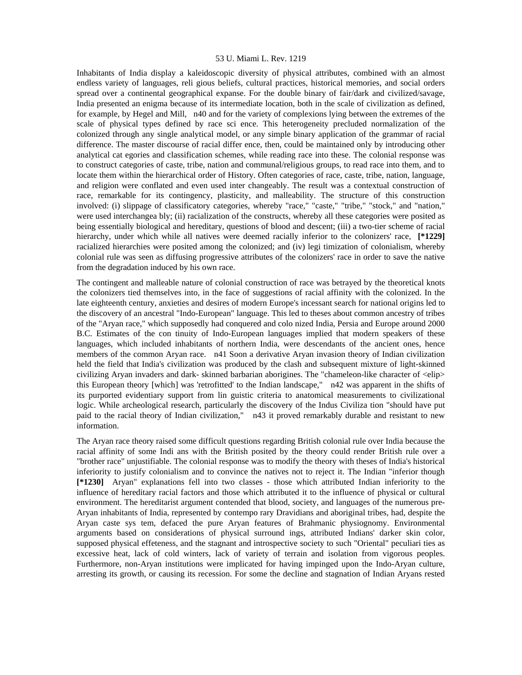Inhabitants of India display a kaleidoscopic diversity of physical attributes, combined with an almost endless variety of languages, reli gious beliefs, cultural practices, historical memories, and social orders spread over a continental geographical expanse. For the double binary of fair/dark and civilized/savage, India presented an enigma because of its intermediate location, both in the scale of civilization as defined, for example, by Hegel and Mill, n40 and for the variety of complexions lying between the extremes of the scale of physical types defined by race sci ence. This heterogeneity precluded normalization of the colonized through any single analytical model, or any simple binary application of the grammar of racial difference. The master discourse of racial differ ence, then, could be maintained only by introducing other analytical cat egories and classification schemes, while reading race into these. The colonial response was to construct categories of caste, tribe, nation and communal/religious groups, to read race into them, and to locate them within the hierarchical order of History. Often categories of race, caste, tribe, nation, language, and religion were conflated and even used inter changeably. The result was a contextual construction of race, remarkable for its contingency, plasticity, and malleability. The structure of this construction involved: (i) slippage of classificatory categories, whereby "race," "caste," "tribe," "stock," and "nation," were used interchangea bly; (ii) racialization of the constructs, whereby all these categories were posited as being essentially biological and hereditary, questions of blood and descent; (iii) a two-tier scheme of racial hierarchy, under which while all natives were deemed racially inferior to the colonizers' race, **[\*1229]**  racialized hierarchies were posited among the colonized; and (iv) legi timization of colonialism, whereby colonial rule was seen as diffusing progressive attributes of the colonizers' race in order to save the native from the degradation induced by his own race.

The contingent and malleable nature of colonial construction of race was betrayed by the theoretical knots the colonizers tied themselves into, in the face of suggestions of racial affinity with the colonized. In the late eighteenth century, anxieties and desires of modern Europe's incessant search for national origins led to the discovery of an ancestral "Indo-European" language. This led to theses about common ancestry of tribes of the "Aryan race," which supposedly had conquered and colo nized India, Persia and Europe around 2000 B.C. Estimates of the con tinuity of Indo-European languages implied that modern speakers of these languages, which included inhabitants of northern India, were descendants of the ancient ones, hence members of the common Aryan race. n41 Soon a derivative Aryan invasion theory of Indian civilization held the field that India's civilization was produced by the clash and subsequent mixture of light-skinned civilizing Aryan invaders and dark- skinned barbarian aborigines. The "chameleon-like character of <elip> this European theory [which] was 'retrofitted' to the Indian landscape," n42 was apparent in the shifts of its purported evidentiary support from lin guistic criteria to anatomical measurements to civilizational logic. While archeological research, particularly the discovery of the Indus Civiliza tion "should have put paid to the racial theory of Indian civilization," n43 it proved remarkably durable and resistant to new information.

The Aryan race theory raised some difficult questions regarding British colonial rule over India because the racial affinity of some Indi ans with the British posited by the theory could render British rule over a "brother race" unjustifiable. The colonial response was to modify the theory with theses of India's historical inferiority to justify colonialism and to convince the natives not to reject it. The Indian "inferior though **[\*1230]** Aryan" explanations fell into two classes - those which attributed Indian inferiority to the influence of hereditary racial factors and those which attributed it to the influence of physical or cultural environment. The hereditarist argument contended that blood, society, and languages of the numerous pre-Aryan inhabitants of India, represented by contempo rary Dravidians and aboriginal tribes, had, despite the Aryan caste sys tem, defaced the pure Aryan features of Brahmanic physiognomy. Environmental arguments based on considerations of physical surround ings, attributed Indians' darker skin color, supposed physical effeteness, and the stagnant and introspective society to such "Oriental" peculiari ties as excessive heat, lack of cold winters, lack of variety of terrain and isolation from vigorous peoples. Furthermore, non-Aryan institutions were implicated for having impinged upon the Indo-Aryan culture, arresting its growth, or causing its recession. For some the decline and stagnation of Indian Aryans rested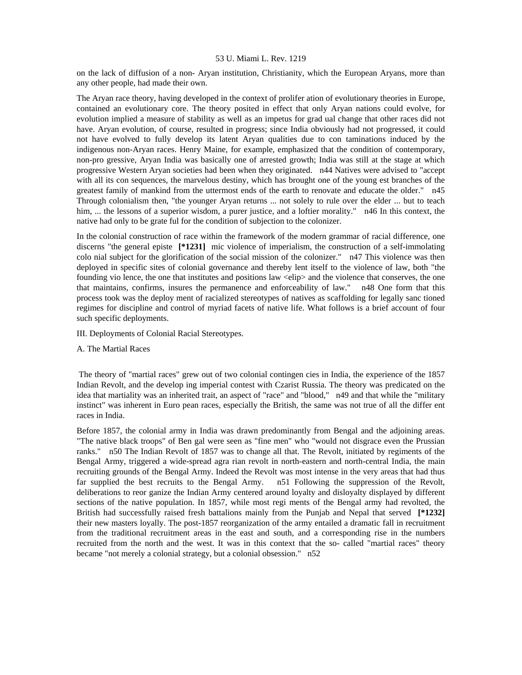on the lack of diffusion of a non- Aryan institution, Christianity, which the European Aryans, more than any other people, had made their own.

The Aryan race theory, having developed in the context of prolifer ation of evolutionary theories in Europe, contained an evolutionary core. The theory posited in effect that only Aryan nations could evolve, for evolution implied a measure of stability as well as an impetus for grad ual change that other races did not have. Aryan evolution, of course, resulted in progress; since India obviously had not progressed, it could not have evolved to fully develop its latent Aryan qualities due to con taminations induced by the indigenous non-Aryan races. Henry Maine, for example, emphasized that the condition of contemporary, non-pro gressive, Aryan India was basically one of arrested growth; India was still at the stage at which progressive Western Aryan societies had been when they originated. n44 Natives were advised to "accept with all its con sequences, the marvelous destiny, which has brought one of the young est branches of the greatest family of mankind from the uttermost ends of the earth to renovate and educate the older." n45 Through colonialism then, "the younger Aryan returns ... not solely to rule over the elder ... but to teach him, ... the lessons of a superior wisdom, a purer justice, and a loftier morality." n46 In this context, the native had only to be grate ful for the condition of subjection to the colonizer.

In the colonial construction of race within the framework of the modern grammar of racial difference, one discerns "the general episte **[\*1231]** mic violence of imperialism, the construction of a self-immolating colo nial subject for the glorification of the social mission of the colonizer." n47 This violence was then deployed in specific sites of colonial governance and thereby lent itself to the violence of law, both "the founding vio lence, the one that institutes and positions law <elip> and the violence that conserves, the one that maintains, confirms, insures the permanence and enforceability of law." n48 One form that this process took was the deploy ment of racialized stereotypes of natives as scaffolding for legally sanc tioned regimes for discipline and control of myriad facets of native life. What follows is a brief account of four such specific deployments.

- III. Deployments of Colonial Racial Stereotypes.
- A. The Martial Races

 The theory of "martial races" grew out of two colonial contingen cies in India, the experience of the 1857 Indian Revolt, and the develop ing imperial contest with Czarist Russia. The theory was predicated on the idea that martiality was an inherited trait, an aspect of "race" and "blood," n49 and that while the "military instinct" was inherent in Euro pean races, especially the British, the same was not true of all the differ ent races in India.

Before 1857, the colonial army in India was drawn predominantly from Bengal and the adjoining areas. "The native black troops" of Ben gal were seen as "fine men" who "would not disgrace even the Prussian ranks." n50 The Indian Revolt of 1857 was to change all that. The Revolt, initiated by regiments of the Bengal Army, triggered a wide-spread agra rian revolt in north-eastern and north-central India, the main recruiting grounds of the Bengal Army. Indeed the Revolt was most intense in the very areas that had thus far supplied the best recruits to the Bengal Army. n51 Following the suppression of the Revolt, deliberations to reor ganize the Indian Army centered around loyalty and disloyalty displayed by different sections of the native population. In 1857, while most regi ments of the Bengal army had revolted, the British had successfully raised fresh battalions mainly from the Punjab and Nepal that served **[\*1232]**  their new masters loyally. The post-1857 reorganization of the army entailed a dramatic fall in recruitment from the traditional recruitment areas in the east and south, and a corresponding rise in the numbers recruited from the north and the west. It was in this context that the so- called "martial races" theory became "not merely a colonial strategy, but a colonial obsession." n52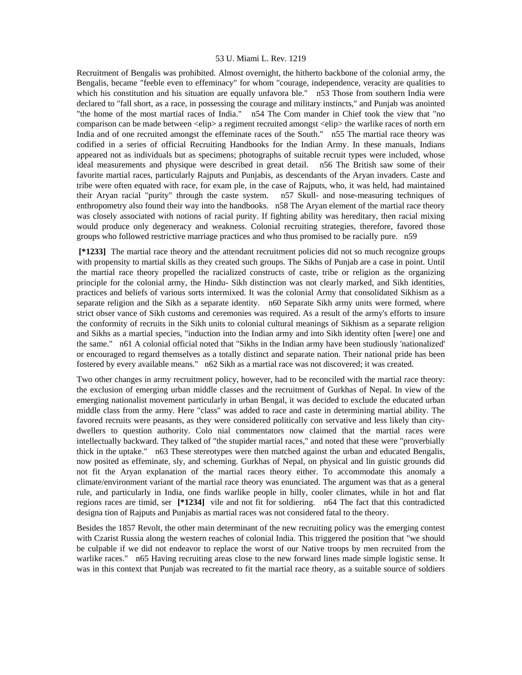Recruitment of Bengalis was prohibited. Almost overnight, the hitherto backbone of the colonial army, the Bengalis, became "feeble even to effeminacy" for whom "courage, independence, veracity are qualities to which his constitution and his situation are equally unfavora ble." n53 Those from southern India were declared to "fall short, as a race, in possessing the courage and military instincts," and Punjab was anointed "the home of the most martial races of India." n54 The Com mander in Chief took the view that "no comparison can be made between <elip> a regiment recruited amongst <elip> the warlike races of north ern India and of one recruited amongst the effeminate races of the South." n55 The martial race theory was codified in a series of official Recruiting Handbooks for the Indian Army. In these manuals, Indians appeared not as individuals but as specimens; photographs of suitable recruit types were included, whose ideal measurements and physique were described in great detail. n56 The British saw some of their favorite martial races, particularly Rajputs and Punjabis, as descendants of the Aryan invaders. Caste and tribe were often equated with race, for exam ple, in the case of Rajputs, who, it was held, had maintained their Aryan racial "purity" through the caste system. n57 Skull- and nose-measuring techniques of enthropometry also found their way into the handbooks. n58 The Aryan element of the martial race theory was closely associated with notions of racial purity. If fighting ability was hereditary, then racial mixing would produce only degeneracy and weakness. Colonial recruiting strategies, therefore, favored those groups who followed restrictive marriage practices and who thus promised to be racially pure. n59

 **[\*1233]** The martial race theory and the attendant recruitment policies did not so much recognize groups with propensity to martial skills as they created such groups. The Sikhs of Punjab are a case in point. Until the martial race theory propelled the racialized constructs of caste, tribe or religion as the organizing principle for the colonial army, the Hindu- Sikh distinction was not clearly marked, and Sikh identities, practices and beliefs of various sorts intermixed. It was the colonial Army that consolidated Sikhism as a separate religion and the Sikh as a separate identity. n60 Separate Sikh army units were formed, where strict obser vance of Sikh customs and ceremonies was required. As a result of the army's efforts to insure the conformity of recruits in the Sikh units to colonial cultural meanings of Sikhism as a separate religion and Sikhs as a martial species, "induction into the Indian army and into Sikh identity often [were] one and the same." n61 A colonial official noted that "Sikhs in the Indian army have been studiously 'nationalized' or encouraged to regard themselves as a totally distinct and separate nation. Their national pride has been fostered by every available means." n62 Sikh as a martial race was not discovered; it was created.

Two other changes in army recruitment policy, however, had to be reconciled with the martial race theory: the exclusion of emerging urban middle classes and the recruitment of Gurkhas of Nepal. In view of the emerging nationalist movement particularly in urban Bengal, it was decided to exclude the educated urban middle class from the army. Here "class" was added to race and caste in determining martial ability. The favored recruits were peasants, as they were considered politically con servative and less likely than citydwellers to question authority. Colo nial commentators now claimed that the martial races were intellectually backward. They talked of "the stupider martial races," and noted that these were "proverbially thick in the uptake." n63 These stereotypes were then matched against the urban and educated Bengalis, now posited as effeminate, sly, and scheming. Gurkhas of Nepal, on physical and lin guistic grounds did not fit the Aryan explanation of the martial races theory either. To accommodate this anomaly a climate/environment variant of the martial race theory was enunciated. The argument was that as a general rule, and particularly in India, one finds warlike people in hilly, cooler climates, while in hot and flat regions races are timid, ser **[\*1234]** vile and not fit for soldiering. n64 The fact that this contradicted designa tion of Rajputs and Punjabis as martial races was not considered fatal to the theory.

Besides the 1857 Revolt, the other main determinant of the new recruiting policy was the emerging contest with Czarist Russia along the western reaches of colonial India. This triggered the position that "we should be culpable if we did not endeavor to replace the worst of our Native troops by men recruited from the warlike races." n65 Having recruiting areas close to the new forward lines made simple logistic sense. It was in this context that Punjab was recreated to fit the martial race theory, as a suitable source of soldiers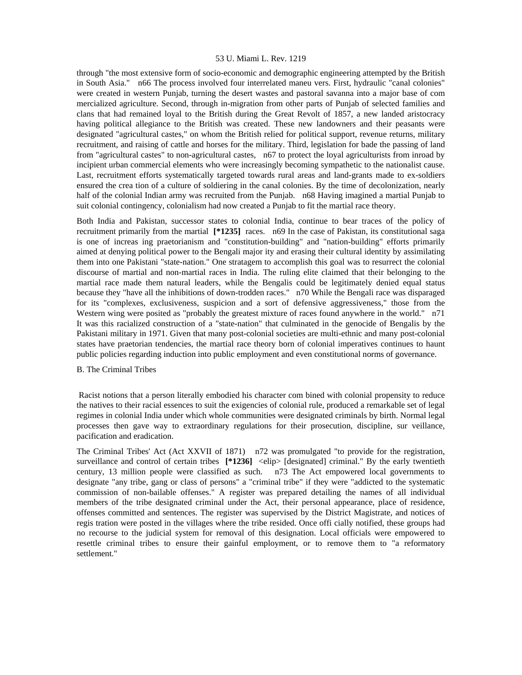through "the most extensive form of socio-economic and demographic engineering attempted by the British in South Asia." n66 The process involved four interrelated maneu vers. First, hydraulic "canal colonies" were created in western Punjab, turning the desert wastes and pastoral savanna into a major base of com mercialized agriculture. Second, through in-migration from other parts of Punjab of selected families and clans that had remained loyal to the British during the Great Revolt of 1857, a new landed aristocracy having political allegiance to the British was created. These new landowners and their peasants were designated "agricultural castes," on whom the British relied for political support, revenue returns, military recruitment, and raising of cattle and horses for the military. Third, legislation for bade the passing of land from "agricultural castes" to non-agricultural castes, n67 to protect the loyal agriculturists from inroad by incipient urban commercial elements who were increasingly becoming sympathetic to the nationalist cause. Last, recruitment efforts systematically targeted towards rural areas and land-grants made to ex-soldiers ensured the crea tion of a culture of soldiering in the canal colonies. By the time of decolonization, nearly half of the colonial Indian army was recruited from the Punjab. n68 Having imagined a martial Punjab to suit colonial contingency, colonialism had now created a Punjab to fit the martial race theory.

Both India and Pakistan, successor states to colonial India, continue to bear traces of the policy of recruitment primarily from the martial **[\*1235]** races. n69 In the case of Pakistan, its constitutional saga is one of increas ing praetorianism and "constitution-building" and "nation-building" efforts primarily aimed at denying political power to the Bengali major ity and erasing their cultural identity by assimilating them into one Pakistani "state-nation." One stratagem to accomplish this goal was to resurrect the colonial discourse of martial and non-martial races in India. The ruling elite claimed that their belonging to the martial race made them natural leaders, while the Bengalis could be legitimately denied equal status because they "have all the inhibitions of down-trodden races." n70 While the Bengali race was disparaged for its "complexes, exclusiveness, suspicion and a sort of defensive aggressiveness," those from the Western wing were posited as "probably the greatest mixture of races found anywhere in the world." n71 It was this racialized construction of a "state-nation" that culminated in the genocide of Bengalis by the Pakistani military in 1971. Given that many post-colonial societies are multi-ethnic and many post-colonial states have praetorian tendencies, the martial race theory born of colonial imperatives continues to haunt public policies regarding induction into public employment and even constitutional norms of governance.

# B. The Criminal Tribes

 Racist notions that a person literally embodied his character com bined with colonial propensity to reduce the natives to their racial essences to suit the exigencies of colonial rule, produced a remarkable set of legal regimes in colonial India under which whole communities were designated criminals by birth. Normal legal processes then gave way to extraordinary regulations for their prosecution, discipline, sur veillance, pacification and eradication.

The Criminal Tribes' Act (Act XXVII of 1871) n72 was promulgated "to provide for the registration, surveillance and control of certain tribes  $[*1236]$  <elip> [designated] criminal." By the early twentieth century, 13 million people were classified as such. n73 The Act empowered local governments to designate "any tribe, gang or class of persons" a "criminal tribe" if they were "addicted to the systematic commission of non-bailable offenses." A register was prepared detailing the names of all individual members of the tribe designated criminal under the Act, their personal appearance, place of residence, offenses committed and sentences. The register was supervised by the District Magistrate, and notices of regis tration were posted in the villages where the tribe resided. Once offi cially notified, these groups had no recourse to the judicial system for removal of this designation. Local officials were empowered to resettle criminal tribes to ensure their gainful employment, or to remove them to "a reformatory settlement."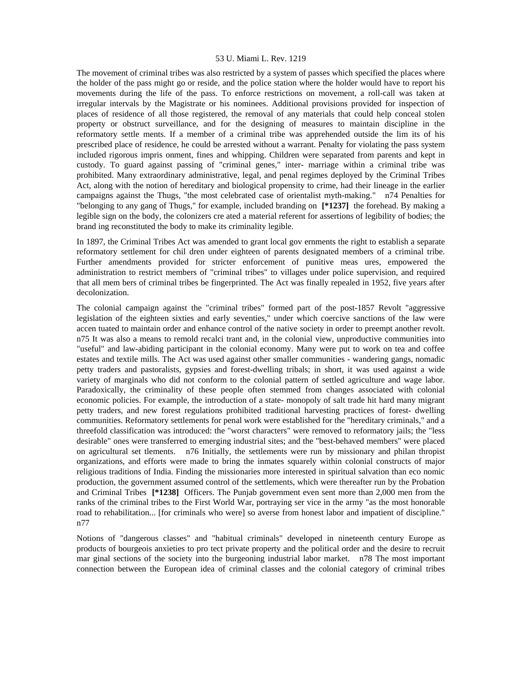The movement of criminal tribes was also restricted by a system of passes which specified the places where the holder of the pass might go or reside, and the police station where the holder would have to report his movements during the life of the pass. To enforce restrictions on movement, a roll-call was taken at irregular intervals by the Magistrate or his nominees. Additional provisions provided for inspection of places of residence of all those registered, the removal of any materials that could help conceal stolen property or obstruct surveillance, and for the designing of measures to maintain discipline in the reformatory settle ments. If a member of a criminal tribe was apprehended outside the lim its of his prescribed place of residence, he could be arrested without a warrant. Penalty for violating the pass system included rigorous impris onment, fines and whipping. Children were separated from parents and kept in custody. To guard against passing of "criminal genes," inter- marriage within a criminal tribe was prohibited. Many extraordinary administrative, legal, and penal regimes deployed by the Criminal Tribes Act, along with the notion of hereditary and biological propensity to crime, had their lineage in the earlier campaigns against the Thugs, "the most celebrated case of orientalist myth-making." n74 Penalties for "belonging to any gang of Thugs," for example, included branding on **[\*1237]** the forehead. By making a legible sign on the body, the colonizers cre ated a material referent for assertions of legibility of bodies; the brand ing reconstituted the body to make its criminality legible.

In 1897, the Criminal Tribes Act was amended to grant local gov ernments the right to establish a separate reformatory settlement for chil dren under eighteen of parents designated members of a criminal tribe. Further amendments provided for stricter enforcement of punitive meas ures, empowered the administration to restrict members of "criminal tribes" to villages under police supervision, and required that all mem bers of criminal tribes be fingerprinted. The Act was finally repealed in 1952, five years after decolonization.

The colonial campaign against the "criminal tribes" formed part of the post-1857 Revolt "aggressive legislation of the eighteen sixties and early seventies," under which coercive sanctions of the law were accen tuated to maintain order and enhance control of the native society in order to preempt another revolt. n75 It was also a means to remold recalci trant and, in the colonial view, unproductive communities into "useful" and law-abiding participant in the colonial economy. Many were put to work on tea and coffee estates and textile mills. The Act was used against other smaller communities - wandering gangs, nomadic petty traders and pastoralists, gypsies and forest-dwelling tribals; in short, it was used against a wide variety of marginals who did not conform to the colonial pattern of settled agriculture and wage labor. Paradoxically, the criminality of these people often stemmed from changes associated with colonial economic policies. For example, the introduction of a state- monopoly of salt trade hit hard many migrant petty traders, and new forest regulations prohibited traditional harvesting practices of forest- dwelling communities. Reformatory settlements for penal work were established for the "hereditary criminals," and a threefold classification was introduced: the "worst characters" were removed to reformatory jails; the "less desirable" ones were transferred to emerging industrial sites; and the "best-behaved members" were placed on agricultural set tlements. n76 Initially, the settlements were run by missionary and philan thropist organizations, and efforts were made to bring the inmates squarely within colonial constructs of major religious traditions of India. Finding the missionaries more interested in spiritual salvation than eco nomic production, the government assumed control of the settlements, which were thereafter run by the Probation and Criminal Tribes **[\*1238]** Officers. The Punjab government even sent more than 2,000 men from the ranks of the criminal tribes to the First World War, portraying ser vice in the army "as the most honorable road to rehabilitation... [for criminals who were] so averse from honest labor and impatient of discipline." n77

Notions of "dangerous classes" and "habitual criminals" developed in nineteenth century Europe as products of bourgeois anxieties to pro tect private property and the political order and the desire to recruit mar ginal sections of the society into the burgeoning industrial labor market. n78 The most important connection between the European idea of criminal classes and the colonial category of criminal tribes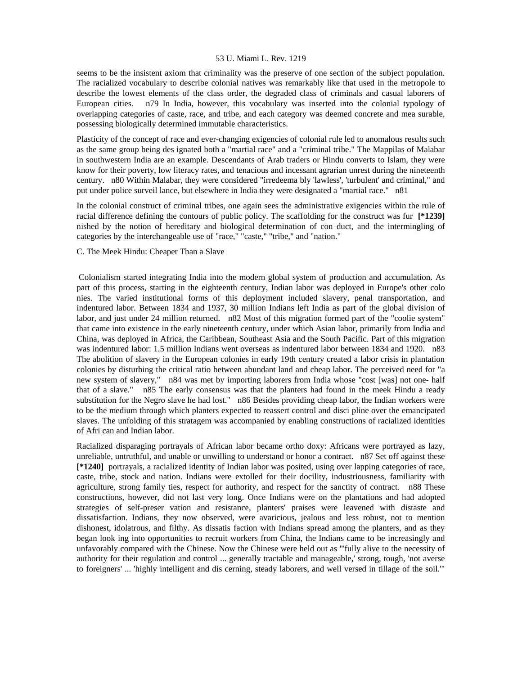seems to be the insistent axiom that criminality was the preserve of one section of the subject population. The racialized vocabulary to describe colonial natives was remarkably like that used in the metropole to describe the lowest elements of the class order, the degraded class of criminals and casual laborers of European cities. n79 In India, however, this vocabulary was inserted into the colonial typology of overlapping categories of caste, race, and tribe, and each category was deemed concrete and mea surable, possessing biologically determined immutable characteristics.

Plasticity of the concept of race and ever-changing exigencies of colonial rule led to anomalous results such as the same group being des ignated both a "martial race" and a "criminal tribe." The Mappilas of Malabar in southwestern India are an example. Descendants of Arab traders or Hindu converts to Islam, they were know for their poverty, low literacy rates, and tenacious and incessant agrarian unrest during the nineteenth century. n80 Within Malabar, they were considered "irredeema bly 'lawless', 'turbulent' and criminal," and put under police surveil lance, but elsewhere in India they were designated a "martial race." n81

In the colonial construct of criminal tribes, one again sees the administrative exigencies within the rule of racial difference defining the contours of public policy. The scaffolding for the construct was fur **[\*1239]**  nished by the notion of hereditary and biological determination of con duct, and the intermingling of categories by the interchangeable use of "race," "caste," "tribe," and "nation."

# C. The Meek Hindu: Cheaper Than a Slave

 Colonialism started integrating India into the modern global system of production and accumulation. As part of this process, starting in the eighteenth century, Indian labor was deployed in Europe's other colo nies. The varied institutional forms of this deployment included slavery, penal transportation, and indentured labor. Between 1834 and 1937, 30 million Indians left India as part of the global division of labor, and just under 24 million returned. n82 Most of this migration formed part of the "coolie system" that came into existence in the early nineteenth century, under which Asian labor, primarily from India and China, was deployed in Africa, the Caribbean, Southeast Asia and the South Pacific. Part of this migration was indentured labor: 1.5 million Indians went overseas as indentured labor between 1834 and 1920. n83 The abolition of slavery in the European colonies in early 19th century created a labor crisis in plantation colonies by disturbing the critical ratio between abundant land and cheap labor. The perceived need for "a new system of slavery," n84 was met by importing laborers from India whose "cost [was] not one- half that of a slave." n85 The early consensus was that the planters had found in the meek Hindu a ready substitution for the Negro slave he had lost." n86 Besides providing cheap labor, the Indian workers were to be the medium through which planters expected to reassert control and disci pline over the emancipated slaves. The unfolding of this stratagem was accompanied by enabling constructions of racialized identities of Afri can and Indian labor.

Racialized disparaging portrayals of African labor became ortho doxy: Africans were portrayed as lazy, unreliable, untruthful, and unable or unwilling to understand or honor a contract. n87 Set off against these **[\*1240]** portrayals, a racialized identity of Indian labor was posited, using over lapping categories of race, caste, tribe, stock and nation. Indians were extolled for their docility, industriousness, familiarity with agriculture, strong family ties, respect for authority, and respect for the sanctity of contract. n88 These constructions, however, did not last very long. Once Indians were on the plantations and had adopted strategies of self-preser vation and resistance, planters' praises were leavened with distaste and dissatisfaction. Indians, they now observed, were avaricious, jealous and less robust, not to mention dishonest, idolatrous, and filthy. As dissatis faction with Indians spread among the planters, and as they began look ing into opportunities to recruit workers from China, the Indians came to be increasingly and unfavorably compared with the Chinese. Now the Chinese were held out as "'fully alive to the necessity of authority for their regulation and control ... generally tractable and manageable,' strong, tough, 'not averse to foreigners' ... 'highly intelligent and dis cerning, steady laborers, and well versed in tillage of the soil.'"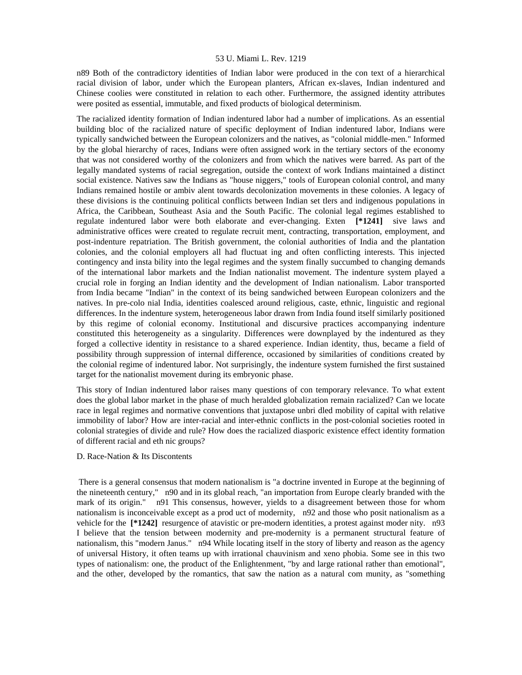n89 Both of the contradictory identities of Indian labor were produced in the con text of a hierarchical racial division of labor, under which the European planters, African ex-slaves, Indian indentured and Chinese coolies were constituted in relation to each other. Furthermore, the assigned identity attributes were posited as essential, immutable, and fixed products of biological determinism.

The racialized identity formation of Indian indentured labor had a number of implications. As an essential building bloc of the racialized nature of specific deployment of Indian indentured labor, Indians were typically sandwiched between the European colonizers and the natives, as "colonial middle-men." Informed by the global hierarchy of races, Indians were often assigned work in the tertiary sectors of the economy that was not considered worthy of the colonizers and from which the natives were barred. As part of the legally mandated systems of racial segregation, outside the context of work Indians maintained a distinct social existence. Natives saw the Indians as "house niggers," tools of European colonial control, and many Indians remained hostile or ambiv alent towards decolonization movements in these colonies. A legacy of these divisions is the continuing political conflicts between Indian set tlers and indigenous populations in Africa, the Caribbean, Southeast Asia and the South Pacific. The colonial legal regimes established to regulate indentured labor were both elaborate and ever-changing. Exten **[\*1241]** sive laws and administrative offices were created to regulate recruit ment, contracting, transportation, employment, and post-indenture repatriation. The British government, the colonial authorities of India and the plantation colonies, and the colonial employers all had fluctuat ing and often conflicting interests. This injected contingency and insta bility into the legal regimes and the system finally succumbed to changing demands of the international labor markets and the Indian nationalist movement. The indenture system played a crucial role in forging an Indian identity and the development of Indian nationalism. Labor transported from India became "Indian" in the context of its being sandwiched between European colonizers and the natives. In pre-colo nial India, identities coalesced around religious, caste, ethnic, linguistic and regional differences. In the indenture system, heterogeneous labor drawn from India found itself similarly positioned by this regime of colonial economy. Institutional and discursive practices accompanying indenture constituted this heterogeneity as a singularity. Differences were downplayed by the indentured as they forged a collective identity in resistance to a shared experience. Indian identity, thus, became a field of possibility through suppression of internal difference, occasioned by similarities of conditions created by the colonial regime of indentured labor. Not surprisingly, the indenture system furnished the first sustained target for the nationalist movement during its embryonic phase.

This story of Indian indentured labor raises many questions of con temporary relevance. To what extent does the global labor market in the phase of much heralded globalization remain racialized? Can we locate race in legal regimes and normative conventions that juxtapose unbri dled mobility of capital with relative immobility of labor? How are inter-racial and inter-ethnic conflicts in the post-colonial societies rooted in colonial strategies of divide and rule? How does the racialized diasporic existence effect identity formation of different racial and eth nic groups?

#### D. Race-Nation & Its Discontents

 There is a general consensus that modern nationalism is "a doctrine invented in Europe at the beginning of the nineteenth century," n90 and in its global reach, "an importation from Europe clearly branded with the mark of its origin." n91 This consensus, however, yields to a disagreement between those for whom nationalism is inconceivable except as a prod uct of modernity, n92 and those who posit nationalism as a vehicle for the **[\*1242]** resurgence of atavistic or pre-modern identities, a protest against moder nity. n93 I believe that the tension between modernity and pre-modernity is a permanent structural feature of nationalism, this "modern Janus." n94 While locating itself in the story of liberty and reason as the agency of universal History, it often teams up with irrational chauvinism and xeno phobia. Some see in this two types of nationalism: one, the product of the Enlightenment, "by and large rational rather than emotional", and the other, developed by the romantics, that saw the nation as a natural com munity, as "something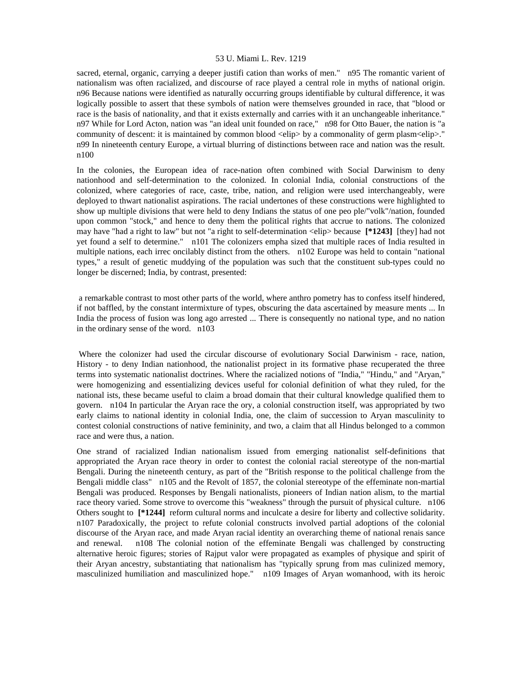sacred, eternal, organic, carrying a deeper justifi cation than works of men." n95 The romantic varient of nationalism was often racialized, and discourse of race played a central role in myths of national origin. n96 Because nations were identified as naturally occurring groups identifiable by cultural difference, it was logically possible to assert that these symbols of nation were themselves grounded in race, that "blood or race is the basis of nationality, and that it exists externally and carries with it an unchangeable inheritance." n97 While for Lord Acton, nation was "an ideal unit founded on race," n98 for Otto Bauer, the nation is "a community of descent: it is maintained by common blood <elip> by a commonality of germ plasm<elip>." n99 In nineteenth century Europe, a virtual blurring of distinctions between race and nation was the result. n100

In the colonies, the European idea of race-nation often combined with Social Darwinism to deny nationhood and self-determination to the colonized. In colonial India, colonial constructions of the colonized, where categories of race, caste, tribe, nation, and religion were used interchangeably, were deployed to thwart nationalist aspirations. The racial undertones of these constructions were highlighted to show up multiple divisions that were held to deny Indians the status of one peo ple/"volk"/nation, founded upon common "stock," and hence to deny them the political rights that accrue to nations. The colonized may have "had a right to law" but not "a right to self-determination <elip> because **[\*1243]** [they] had not yet found a self to determine." n101 The colonizers empha sized that multiple races of India resulted in multiple nations, each irrec oncilably distinct from the others. n102 Europe was held to contain "national types," a result of genetic muddying of the population was such that the constituent sub-types could no longer be discerned; India, by contrast, presented:

 a remarkable contrast to most other parts of the world, where anthro pometry has to confess itself hindered, if not baffled, by the constant intermixture of types, obscuring the data ascertained by measure ments ... In India the process of fusion was long ago arrested ... There is consequently no national type, and no nation in the ordinary sense of the word. n103

 Where the colonizer had used the circular discourse of evolutionary Social Darwinism - race, nation, History - to deny Indian nationhood, the nationalist project in its formative phase recuperated the three terms into systematic nationalist doctrines. Where the racialized notions of "India," "Hindu," and "Aryan," were homogenizing and essentializing devices useful for colonial definition of what they ruled, for the national ists, these became useful to claim a broad domain that their cultural knowledge qualified them to govern. n104 In particular the Aryan race the ory, a colonial construction itself, was appropriated by two early claims to national identity in colonial India, one, the claim of succession to Aryan masculinity to contest colonial constructions of native femininity, and two, a claim that all Hindus belonged to a common race and were thus, a nation.

One strand of racialized Indian nationalism issued from emerging nationalist self-definitions that appropriated the Aryan race theory in order to contest the colonial racial stereotype of the non-martial Bengali. During the nineteenth century, as part of the "British response to the political challenge from the Bengali middle class" n105 and the Revolt of 1857, the colonial stereotype of the effeminate non-martial Bengali was produced. Responses by Bengali nationalists, pioneers of Indian nation alism, to the martial race theory varied. Some strove to overcome this "weakness" through the pursuit of physical culture. n106 Others sought to **[\*1244]** reform cultural norms and inculcate a desire for liberty and collective solidarity. n107 Paradoxically, the project to refute colonial constructs involved partial adoptions of the colonial discourse of the Aryan race, and made Aryan racial identity an overarching theme of national renais sance and renewal. n108 The colonial notion of the effeminate Bengali was challenged by constructing alternative heroic figures; stories of Rajput valor were propagated as examples of physique and spirit of their Aryan ancestry, substantiating that nationalism has "typically sprung from mas culinized memory, masculinized humiliation and masculinized hope." n109 Images of Aryan womanhood, with its heroic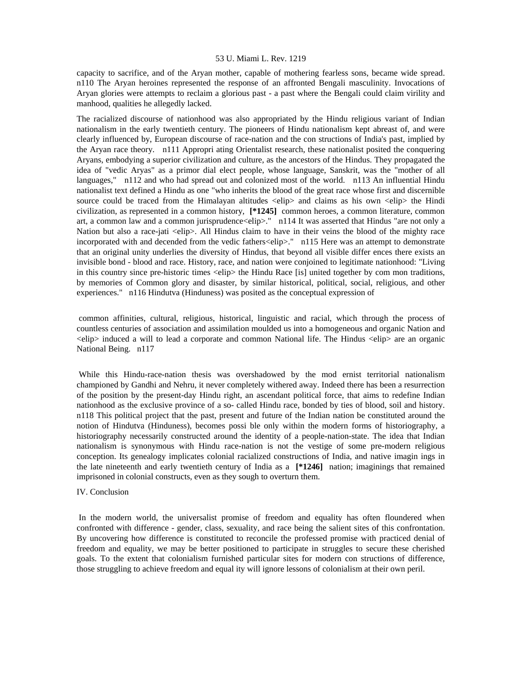capacity to sacrifice, and of the Aryan mother, capable of mothering fearless sons, became wide spread. n110 The Aryan heroines represented the response of an affronted Bengali masculinity. Invocations of Aryan glories were attempts to reclaim a glorious past - a past where the Bengali could claim virility and manhood, qualities he allegedly lacked.

The racialized discourse of nationhood was also appropriated by the Hindu religious variant of Indian nationalism in the early twentieth century. The pioneers of Hindu nationalism kept abreast of, and were clearly influenced by, European discourse of race-nation and the con structions of India's past, implied by the Aryan race theory. n111 Appropri ating Orientalist research, these nationalist posited the conquering Aryans, embodying a superior civilization and culture, as the ancestors of the Hindus. They propagated the idea of "vedic Aryas" as a primor dial elect people, whose language, Sanskrit, was the "mother of all languages," n112 and who had spread out and colonized most of the world. n113 An influential Hindu nationalist text defined a Hindu as one "who inherits the blood of the great race whose first and discernible source could be traced from the Himalayan altitudes  $\langle$ elip $\rangle$  and claims as his own  $\langle$ elip $\rangle$  the Hindi civilization, as represented in a common history, **[\*1245]** common heroes, a common literature, common art, a common law and a common jurisprudence<elip>." n114 It was asserted that Hindus "are not only a Nation but also a race-jati <elip>. All Hindus claim to have in their veins the blood of the mighty race incorporated with and decended from the vedic fathers<elip>." n115 Here was an attempt to demonstrate that an original unity underlies the diversity of Hindus, that beyond all visible differ ences there exists an invisible bond - blood and race. History, race, and nation were conjoined to legitimate nationhood: "Living in this country since pre-historic times <elip> the Hindu Race [is] united together by com mon traditions, by memories of Common glory and disaster, by similar historical, political, social, religious, and other experiences." n116 Hindutva (Hinduness) was posited as the conceptual expression of

 common affinities, cultural, religious, historical, linguistic and racial, which through the process of countless centuries of association and assimilation moulded us into a homogeneous and organic Nation and <elip> induced a will to lead a corporate and common National life. The Hindus <elip> are an organic National Being. n117

 While this Hindu-race-nation thesis was overshadowed by the mod ernist territorial nationalism championed by Gandhi and Nehru, it never completely withered away. Indeed there has been a resurrection of the position by the present-day Hindu right, an ascendant political force, that aims to redefine Indian nationhood as the exclusive province of a so- called Hindu race, bonded by ties of blood, soil and history. n118 This political project that the past, present and future of the Indian nation be constituted around the notion of Hindutva (Hinduness), becomes possi ble only within the modern forms of historiography, a historiography necessarily constructed around the identity of a people-nation-state. The idea that Indian nationalism is synonymous with Hindu race-nation is not the vestige of some pre-modern religious conception. Its genealogy implicates colonial racialized constructions of India, and native imagin ings in the late nineteenth and early twentieth century of India as a **[\*1246]** nation; imaginings that remained imprisoned in colonial constructs, even as they sough to overturn them.

#### IV. Conclusion

 In the modern world, the universalist promise of freedom and equality has often floundered when confronted with difference - gender, class, sexuality, and race being the salient sites of this confrontation. By uncovering how difference is constituted to reconcile the professed promise with practiced denial of freedom and equality, we may be better positioned to participate in struggles to secure these cherished goals. To the extent that colonialism furnished particular sites for modern con structions of difference, those struggling to achieve freedom and equal ity will ignore lessons of colonialism at their own peril.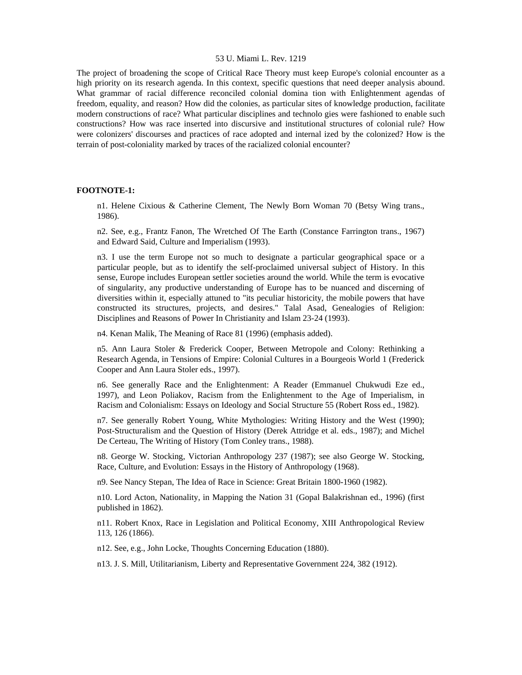The project of broadening the scope of Critical Race Theory must keep Europe's colonial encounter as a high priority on its research agenda. In this context, specific questions that need deeper analysis abound. What grammar of racial difference reconciled colonial domina tion with Enlightenment agendas of freedom, equality, and reason? How did the colonies, as particular sites of knowledge production, facilitate modern constructions of race? What particular disciplines and technolo gies were fashioned to enable such constructions? How was race inserted into discursive and institutional structures of colonial rule? How were colonizers' discourses and practices of race adopted and internal ized by the colonized? How is the terrain of post-coloniality marked by traces of the racialized colonial encounter?

#### **FOOTNOTE-1:**

n1. Helene Cixious & Catherine Clement, The Newly Born Woman 70 (Betsy Wing trans., 1986).

n2. See, e.g., Frantz Fanon, The Wretched Of The Earth (Constance Farrington trans., 1967) and Edward Said, Culture and Imperialism (1993).

n3. I use the term Europe not so much to designate a particular geographical space or a particular people, but as to identify the self-proclaimed universal subject of History. In this sense, Europe includes European settler societies around the world. While the term is evocative of singularity, any productive understanding of Europe has to be nuanced and discerning of diversities within it, especially attuned to "its peculiar historicity, the mobile powers that have constructed its structures, projects, and desires." Talal Asad, Genealogies of Religion: Disciplines and Reasons of Power In Christianity and Islam 23-24 (1993).

n4. Kenan Malik, The Meaning of Race 81 (1996) (emphasis added).

n5. Ann Laura Stoler & Frederick Cooper, Between Metropole and Colony: Rethinking a Research Agenda, in Tensions of Empire: Colonial Cultures in a Bourgeois World 1 (Frederick Cooper and Ann Laura Stoler eds., 1997).

n6. See generally Race and the Enlightenment: A Reader (Emmanuel Chukwudi Eze ed., 1997), and Leon Poliakov, Racism from the Enlightenment to the Age of Imperialism, in Racism and Colonialism: Essays on Ideology and Social Structure 55 (Robert Ross ed., 1982).

n7. See generally Robert Young, White Mythologies: Writing History and the West (1990); Post-Structuralism and the Question of History (Derek Attridge et al. eds., 1987); and Michel De Certeau, The Writing of History (Tom Conley trans., 1988).

n8. George W. Stocking, Victorian Anthropology 237 (1987); see also George W. Stocking, Race, Culture, and Evolution: Essays in the History of Anthropology (1968).

n9. See Nancy Stepan, The Idea of Race in Science: Great Britain 1800-1960 (1982).

n10. Lord Acton, Nationality, in Mapping the Nation 31 (Gopal Balakrishnan ed., 1996) (first published in 1862).

n11. Robert Knox, Race in Legislation and Political Economy, XIII Anthropological Review 113, 126 (1866).

n12. See, e.g., John Locke, Thoughts Concerning Education (1880).

n13. J. S. Mill, Utilitarianism, Liberty and Representative Government 224, 382 (1912).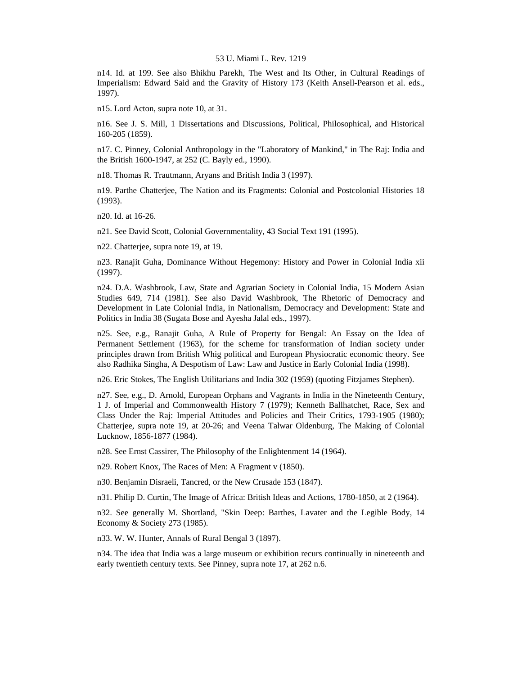n14. Id. at 199. See also Bhikhu Parekh, The West and Its Other, in Cultural Readings of Imperialism: Edward Said and the Gravity of History 173 (Keith Ansell-Pearson et al. eds., 1997).

n15. Lord Acton, supra note 10, at 31.

n16. See J. S. Mill, 1 Dissertations and Discussions, Political, Philosophical, and Historical 160-205 (1859).

n17. C. Pinney, Colonial Anthropology in the "Laboratory of Mankind," in The Raj: India and the British 1600-1947, at 252 (C. Bayly ed., 1990).

n18. Thomas R. Trautmann, Aryans and British India 3 (1997).

n19. Parthe Chatterjee, The Nation and its Fragments: Colonial and Postcolonial Histories 18 (1993).

n20. Id. at 16-26.

n21. See David Scott, Colonial Governmentality, 43 Social Text 191 (1995).

n22. Chatterjee, supra note 19, at 19.

n23. Ranajit Guha, Dominance Without Hegemony: History and Power in Colonial India xii (1997).

n24. D.A. Washbrook, Law, State and Agrarian Society in Colonial India, 15 Modern Asian Studies 649, 714 (1981). See also David Washbrook, The Rhetoric of Democracy and Development in Late Colonial India, in Nationalism, Democracy and Development: State and Politics in India 38 (Sugata Bose and Ayesha Jalal eds., 1997).

n25. See, e.g., Ranajit Guha, A Rule of Property for Bengal: An Essay on the Idea of Permanent Settlement (1963), for the scheme for transformation of Indian society under principles drawn from British Whig political and European Physiocratic economic theory. See also Radhika Singha, A Despotism of Law: Law and Justice in Early Colonial India (1998).

n26. Eric Stokes, The English Utilitarians and India 302 (1959) (quoting Fitzjames Stephen).

n27. See, e.g., D. Arnold, European Orphans and Vagrants in India in the Nineteenth Century, 1 J. of Imperial and Commonwealth History 7 (1979); Kenneth Ballhatchet, Race, Sex and Class Under the Raj: Imperial Attitudes and Policies and Their Critics, 1793-1905 (1980); Chatterjee, supra note 19, at 20-26; and Veena Talwar Oldenburg, The Making of Colonial Lucknow, 1856-1877 (1984).

n28. See Ernst Cassirer, The Philosophy of the Enlightenment 14 (1964).

n29. Robert Knox, The Races of Men: A Fragment v (1850).

n30. Benjamin Disraeli, Tancred, or the New Crusade 153 (1847).

n31. Philip D. Curtin, The Image of Africa: British Ideas and Actions, 1780-1850, at 2 (1964).

n32. See generally M. Shortland, "Skin Deep: Barthes, Lavater and the Legible Body, 14 Economy & Society 273 (1985).

n33. W. W. Hunter, Annals of Rural Bengal 3 (1897).

n34. The idea that India was a large museum or exhibition recurs continually in nineteenth and early twentieth century texts. See Pinney, supra note 17, at 262 n.6.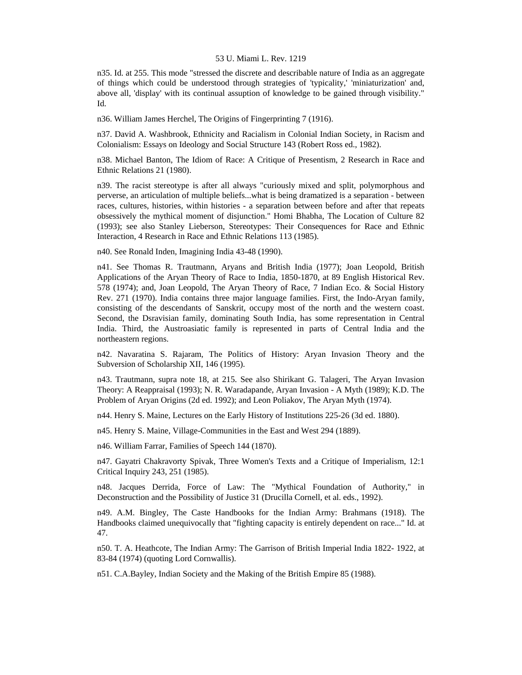n35. Id. at 255. This mode "stressed the discrete and describable nature of India as an aggregate of things which could be understood through strategies of 'typicality,' 'miniaturization' and, above all, 'display' with its continual assuption of knowledge to be gained through visibility." Id.

n36. William James Herchel, The Origins of Fingerprinting 7 (1916).

n37. David A. Washbrook, Ethnicity and Racialism in Colonial Indian Society, in Racism and Colonialism: Essays on Ideology and Social Structure 143 (Robert Ross ed., 1982).

n38. Michael Banton, The Idiom of Race: A Critique of Presentism, 2 Research in Race and Ethnic Relations 21 (1980).

n39. The racist stereotype is after all always "curiously mixed and split, polymorphous and perverse, an articulation of multiple beliefs...what is being dramatized is a separation - between races, cultures, histories, within histories - a separation between before and after that repeats obsessively the mythical moment of disjunction." Homi Bhabha, The Location of Culture 82 (1993); see also Stanley Lieberson, Stereotypes: Their Consequences for Race and Ethnic Interaction, 4 Research in Race and Ethnic Relations 113 (1985).

n40. See Ronald Inden, Imagining India 43-48 (1990).

n41. See Thomas R. Trautmann, Aryans and British India (1977); Joan Leopold, British Applications of the Aryan Theory of Race to India, 1850-1870, at 89 English Historical Rev. 578 (1974); and, Joan Leopold, The Aryan Theory of Race, 7 Indian Eco. & Social History Rev. 271 (1970). India contains three major language families. First, the Indo-Aryan family, consisting of the descendants of Sanskrit, occupy most of the north and the western coast. Second, the Dsravisian family, dominating South India, has some representation in Central India. Third, the Austroasiatic family is represented in parts of Central India and the northeastern regions.

n42. Navaratina S. Rajaram, The Politics of History: Aryan Invasion Theory and the Subversion of Scholarship XII, 146 (1995).

n43. Trautmann, supra note 18, at 215. See also Shirikant G. Talageri, The Aryan Invasion Theory: A Reappraisal (1993); N. R. Waradapande, Aryan Invasion - A Myth (1989); K.D. The Problem of Aryan Origins (2d ed. 1992); and Leon Poliakov, The Aryan Myth (1974).

n44. Henry S. Maine, Lectures on the Early History of Institutions 225-26 (3d ed. 1880).

n45. Henry S. Maine, Village-Communities in the East and West 294 (1889).

n46. William Farrar, Families of Speech 144 (1870).

n47. Gayatri Chakravorty Spivak, Three Women's Texts and a Critique of Imperialism, 12:1 Critical Inquiry 243, 251 (1985).

n48. Jacques Derrida, Force of Law: The "Mythical Foundation of Authority," in Deconstruction and the Possibility of Justice 31 (Drucilla Cornell, et al. eds., 1992).

n49. A.M. Bingley, The Caste Handbooks for the Indian Army: Brahmans (1918). The Handbooks claimed unequivocally that "fighting capacity is entirely dependent on race..." Id. at 47.

n50. T. A. Heathcote, The Indian Army: The Garrison of British Imperial India 1822- 1922, at 83-84 (1974) (quoting Lord Cornwallis).

n51. C.A.Bayley, Indian Society and the Making of the British Empire 85 (1988).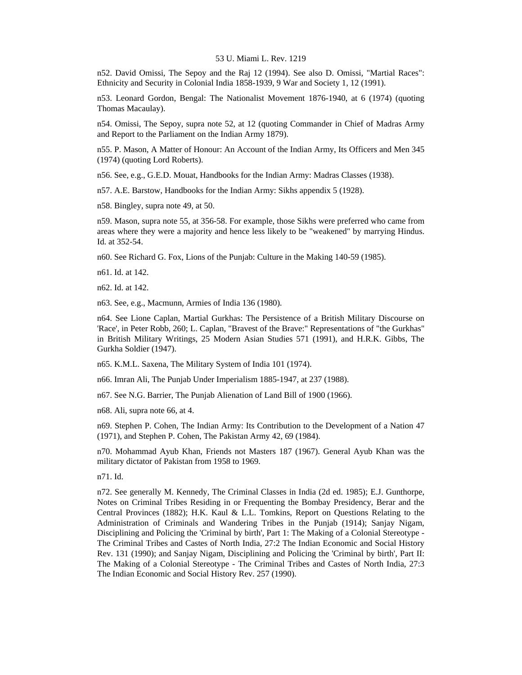n52. David Omissi, The Sepoy and the Raj 12 (1994). See also D. Omissi, "Martial Races": Ethnicity and Security in Colonial India 1858-1939, 9 War and Society 1, 12 (1991).

n53. Leonard Gordon, Bengal: The Nationalist Movement 1876-1940, at 6 (1974) (quoting Thomas Macaulay).

n54. Omissi, The Sepoy, supra note 52, at 12 (quoting Commander in Chief of Madras Army and Report to the Parliament on the Indian Army 1879).

n55. P. Mason, A Matter of Honour: An Account of the Indian Army, Its Officers and Men 345 (1974) (quoting Lord Roberts).

n56. See, e.g., G.E.D. Mouat, Handbooks for the Indian Army: Madras Classes (1938).

n57. A.E. Barstow, Handbooks for the Indian Army: Sikhs appendix 5 (1928).

n58. Bingley, supra note 49, at 50.

n59. Mason, supra note 55, at 356-58. For example, those Sikhs were preferred who came from areas where they were a majority and hence less likely to be "weakened" by marrying Hindus. Id. at 352-54.

n60. See Richard G. Fox, Lions of the Punjab: Culture in the Making 140-59 (1985).

n61. Id. at 142.

n62. Id. at 142.

n63. See, e.g., Macmunn, Armies of India 136 (1980).

n64. See Lione Caplan, Martial Gurkhas: The Persistence of a British Military Discourse on 'Race', in Peter Robb, 260; L. Caplan, "Bravest of the Brave:" Representations of "the Gurkhas" in British Military Writings, 25 Modern Asian Studies 571 (1991), and H.R.K. Gibbs, The Gurkha Soldier (1947).

n65. K.M.L. Saxena, The Military System of India 101 (1974).

n66. Imran Ali, The Punjab Under Imperialism 1885-1947, at 237 (1988).

n67. See N.G. Barrier, The Punjab Alienation of Land Bill of 1900 (1966).

n68. Ali, supra note 66, at 4.

n69. Stephen P. Cohen, The Indian Army: Its Contribution to the Development of a Nation 47 (1971), and Stephen P. Cohen, The Pakistan Army 42, 69 (1984).

n70. Mohammad Ayub Khan, Friends not Masters 187 (1967). General Ayub Khan was the military dictator of Pakistan from 1958 to 1969.

n71. Id.

n72. See generally M. Kennedy, The Criminal Classes in India (2d ed. 1985); E.J. Gunthorpe, Notes on Criminal Tribes Residing in or Frequenting the Bombay Presidency, Berar and the Central Provinces (1882); H.K. Kaul & L.L. Tomkins, Report on Questions Relating to the Administration of Criminals and Wandering Tribes in the Punjab (1914); Sanjay Nigam, Disciplining and Policing the 'Criminal by birth', Part 1: The Making of a Colonial Stereotype - The Criminal Tribes and Castes of North India, 27:2 The Indian Economic and Social History Rev. 131 (1990); and Sanjay Nigam, Disciplining and Policing the 'Criminal by birth', Part II: The Making of a Colonial Stereotype - The Criminal Tribes and Castes of North India, 27:3 The Indian Economic and Social History Rev. 257 (1990).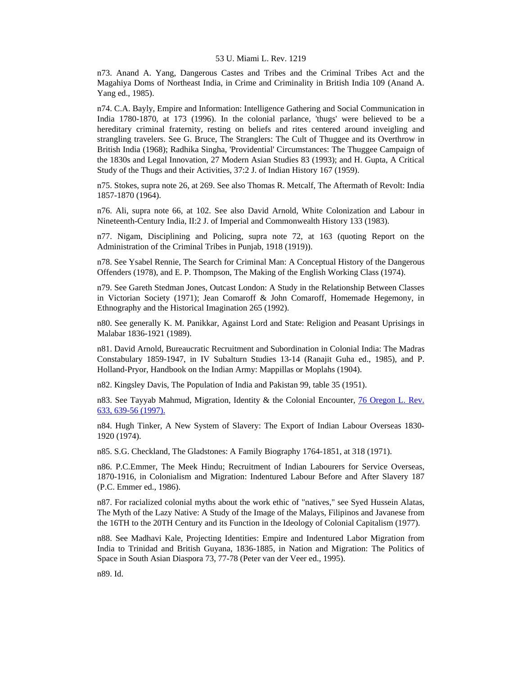n73. Anand A. Yang, Dangerous Castes and Tribes and the Criminal Tribes Act and the Magahiya Doms of Northeast India, in Crime and Criminality in British India 109 (Anand A. Yang ed., 1985).

n74. C.A. Bayly, Empire and Information: Intelligence Gathering and Social Communication in India 1780-1870, at 173 (1996). In the colonial parlance, 'thugs' were believed to be a hereditary criminal fraternity, resting on beliefs and rites centered around inveigling and strangling travelers. See G. Bruce, The Stranglers: The Cult of Thuggee and its Overthrow in British India (1968); Radhika Singha, 'Providential' Circumstances: The Thuggee Campaign of the 1830s and Legal Innovation, 27 Modern Asian Studies 83 (1993); and H. Gupta, A Critical Study of the Thugs and their Activities, 37:2 J. of Indian History 167 (1959).

n75. Stokes, supra note 26, at 269. See also Thomas R. Metcalf, The Aftermath of Revolt: India 1857-1870 (1964).

n76. Ali, supra note 66, at 102. See also David Arnold, White Colonization and Labour in Nineteenth-Century India, II:2 J. of Imperial and Commonwealth History 133 (1983).

n77. Nigam, Disciplining and Policing, supra note 72, at 163 (quoting Report on the Administration of the Criminal Tribes in Punjab, 1918 (1919)).

n78. See Ysabel Rennie, The Search for Criminal Man: A Conceptual History of the Dangerous Offenders (1978), and E. P. Thompson, The Making of the English Working Class (1974).

n79. See Gareth Stedman Jones, Outcast London: A Study in the Relationship Between Classes in Victorian Society (1971); Jean Comaroff & John Comaroff, Homemade Hegemony, in Ethnography and the Historical Imagination 265 (1992).

n80. See generally K. M. Panikkar, Against Lord and State: Religion and Peasant Uprisings in Malabar 1836-1921 (1989).

n81. David Arnold, Bureaucratic Recruitment and Subordination in Colonial India: The Madras Constabulary 1859-1947, in IV Subalturn Studies 13-14 (Ranajit Guha ed., 1985), and P. Holland-Pryor, Handbook on the Indian Army: Mappillas or Moplahs (1904).

n82. Kingsley Davis, The Population of India and Pakistan 99, table 35 (1951).

n83. See Tayyab Mahmud, Migration, Identity & the Colonial Encounter, [76 Oregon L. Rev.](http://www.lexis.com/research/xlink?searchtype=get&search=76%20Or.%20L.%20Rev.%20633,at%20639)  [633, 639-56 \(1997\).](http://www.lexis.com/research/xlink?searchtype=get&search=76%20Or.%20L.%20Rev.%20633,at%20639)

n84. Hugh Tinker, A New System of Slavery: The Export of Indian Labour Overseas 1830- 1920 (1974).

n85. S.G. Checkland, The Gladstones: A Family Biography 1764-1851, at 318 (1971).

n86. P.C.Emmer, The Meek Hindu; Recruitment of Indian Labourers for Service Overseas, 1870-1916, in Colonialism and Migration: Indentured Labour Before and After Slavery 187 (P.C. Emmer ed., 1986).

n87. For racialized colonial myths about the work ethic of "natives," see Syed Hussein Alatas, The Myth of the Lazy Native: A Study of the Image of the Malays, Filipinos and Javanese from the 16TH to the 20TH Century and its Function in the Ideology of Colonial Capitalism (1977).

n88. See Madhavi Kale, Projecting Identities: Empire and Indentured Labor Migration from India to Trinidad and British Guyana, 1836-1885, in Nation and Migration: The Politics of Space in South Asian Diaspora 73, 77-78 (Peter van der Veer ed., 1995).

n89. Id.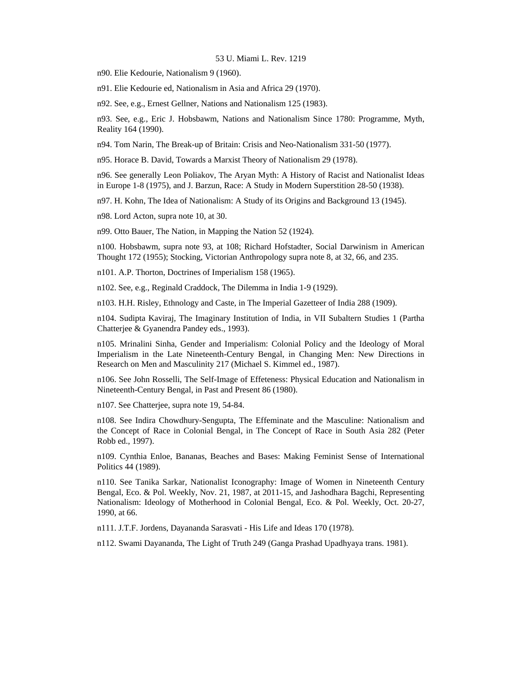n90. Elie Kedourie, Nationalism 9 (1960).

n91. Elie Kedourie ed, Nationalism in Asia and Africa 29 (1970).

n92. See, e.g., Ernest Gellner, Nations and Nationalism 125 (1983).

n93. See, e.g., Eric J. Hobsbawm, Nations and Nationalism Since 1780: Programme, Myth, Reality 164 (1990).

n94. Tom Narin, The Break-up of Britain: Crisis and Neo-Nationalism 331-50 (1977).

n95. Horace B. David, Towards a Marxist Theory of Nationalism 29 (1978).

n96. See generally Leon Poliakov, The Aryan Myth: A History of Racist and Nationalist Ideas in Europe 1-8 (1975), and J. Barzun, Race: A Study in Modern Superstition 28-50 (1938).

n97. H. Kohn, The Idea of Nationalism: A Study of its Origins and Background 13 (1945).

n98. Lord Acton, supra note 10, at 30.

n99. Otto Bauer, The Nation, in Mapping the Nation 52 (1924).

n100. Hobsbawm, supra note 93, at 108; Richard Hofstadter, Social Darwinism in American Thought 172 (1955); Stocking, Victorian Anthropology supra note 8, at 32, 66, and 235.

n101. A.P. Thorton, Doctrines of Imperialism 158 (1965).

n102. See, e.g., Reginald Craddock, The Dilemma in India 1-9 (1929).

n103. H.H. Risley, Ethnology and Caste, in The Imperial Gazetteer of India 288 (1909).

n104. Sudipta Kaviraj, The Imaginary Institution of India, in VII Subaltern Studies 1 (Partha Chatterjee & Gyanendra Pandey eds., 1993).

n105. Mrinalini Sinha, Gender and Imperialism: Colonial Policy and the Ideology of Moral Imperialism in the Late Nineteenth-Century Bengal, in Changing Men: New Directions in Research on Men and Masculinity 217 (Michael S. Kimmel ed., 1987).

n106. See John Rosselli, The Self-Image of Effeteness: Physical Education and Nationalism in Nineteenth-Century Bengal, in Past and Present 86 (1980).

n107. See Chatterjee, supra note 19, 54-84.

n108. See Indira Chowdhury-Sengupta, The Effeminate and the Masculine: Nationalism and the Concept of Race in Colonial Bengal, in The Concept of Race in South Asia 282 (Peter Robb ed., 1997).

n109. Cynthia Enloe, Bananas, Beaches and Bases: Making Feminist Sense of International Politics 44 (1989).

n110. See Tanika Sarkar, Nationalist Iconography: Image of Women in Nineteenth Century Bengal, Eco. & Pol. Weekly, Nov. 21, 1987, at 2011-15, and Jashodhara Bagchi, Representing Nationalism: Ideology of Motherhood in Colonial Bengal, Eco. & Pol. Weekly, Oct. 20-27, 1990, at 66.

n111. J.T.F. Jordens, Dayananda Sarasvati - His Life and Ideas 170 (1978).

n112. Swami Dayananda, The Light of Truth 249 (Ganga Prashad Upadhyaya trans. 1981).